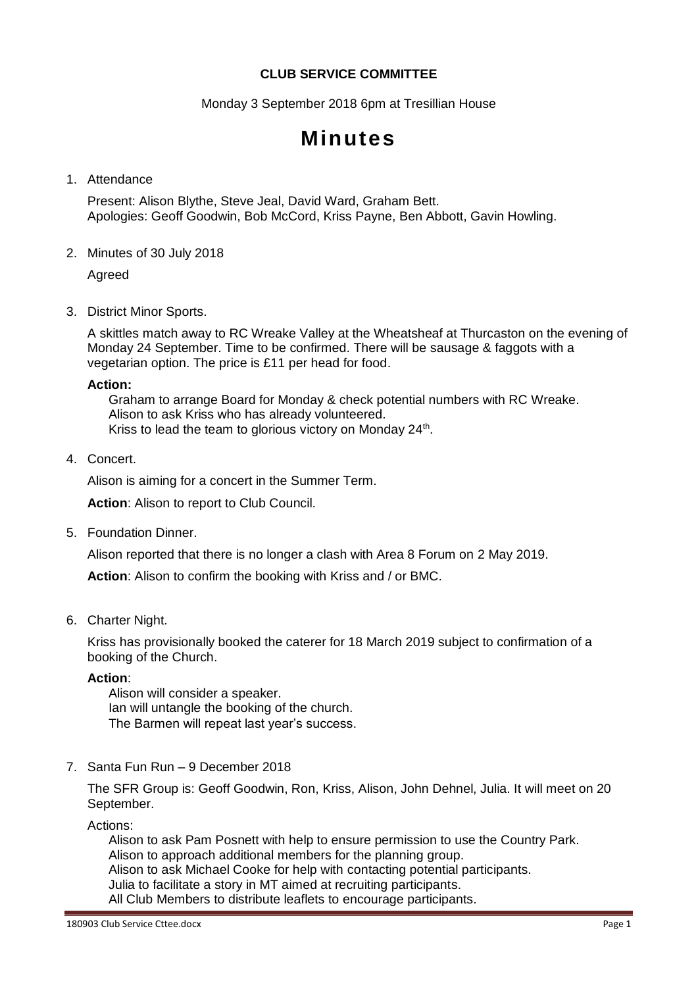# **CLUB SERVICE COMMITTEE**

Monday 3 September 2018 6pm at Tresillian House

# **Minutes**

#### 1. Attendance

Present: Alison Blythe, Steve Jeal, David Ward, Graham Bett. Apologies: Geoff Goodwin, Bob McCord, Kriss Payne, Ben Abbott, Gavin Howling.

2. Minutes of 30 July 2018

Agreed

3. District Minor Sports.

A skittles match away to RC Wreake Valley at the Wheatsheaf at Thurcaston on the evening of Monday 24 September. Time to be confirmed. There will be sausage & faggots with a vegetarian option. The price is £11 per head for food.

#### **Action:**

Graham to arrange Board for Monday & check potential numbers with RC Wreake. Alison to ask Kriss who has already volunteered. Kriss to lead the team to glorious victory on Monday 24<sup>th</sup>.

4. Concert.

Alison is aiming for a concert in the Summer Term.

**Action**: Alison to report to Club Council.

5. Foundation Dinner.

Alison reported that there is no longer a clash with Area 8 Forum on 2 May 2019.

**Action**: Alison to confirm the booking with Kriss and / or BMC.

6. Charter Night.

Kriss has provisionally booked the caterer for 18 March 2019 subject to confirmation of a booking of the Church.

## **Action**:

Alison will consider a speaker. Ian will untangle the booking of the church. The Barmen will repeat last year's success.

7. Santa Fun Run – 9 December 2018

The SFR Group is: Geoff Goodwin, Ron, Kriss, Alison, John Dehnel, Julia. It will meet on 20 September.

Actions:

Alison to ask Pam Posnett with help to ensure permission to use the Country Park. Alison to approach additional members for the planning group. Alison to ask Michael Cooke for help with contacting potential participants. Julia to facilitate a story in MT aimed at recruiting participants. All Club Members to distribute leaflets to encourage participants.